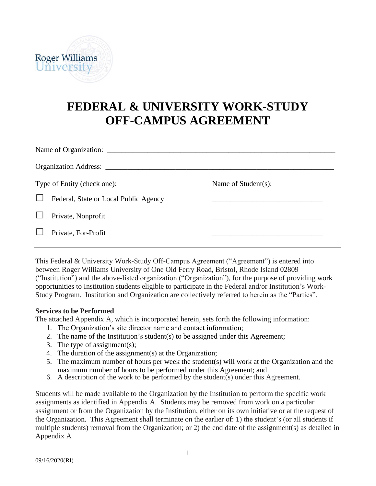

# **FEDERAL & UNIVERSITY WORK-STUDY OFF-CAMPUS AGREEMENT**

| Type of Entity (check one): |                                       | Name of Student(s): |  |  |  |  |
|-----------------------------|---------------------------------------|---------------------|--|--|--|--|
|                             | Federal, State or Local Public Agency |                     |  |  |  |  |
|                             | Private, Nonprofit                    |                     |  |  |  |  |
|                             | Private, For-Profit                   |                     |  |  |  |  |
|                             |                                       |                     |  |  |  |  |

This Federal & University Work-Study Off-Campus Agreement ("Agreement") is entered into between Roger Williams University of One Old Ferry Road, Bristol, Rhode Island 02809 ("Institution") and the above-listed organization ("Organization"), for the purpose of providing work opportunities to Institution students eligible to participate in the Federal and/or Institution's Work-Study Program. Institution and Organization are collectively referred to herein as the "Parties".

#### **Services to be Performed**

The attached Appendix A, which is incorporated herein, sets forth the following information:

- 1. The Organization's site director name and contact information;
- 2. The name of the Institution's student(s) to be assigned under this Agreement;
- 3. The type of assignment(s);
- 4. The duration of the assignment(s) at the Organization;
- 5. The maximum number of hours per week the student(s) will work at the Organization and the maximum number of hours to be performed under this Agreement; and
- 6. A description of the work to be performed by the student(s) under this Agreement.

Students will be made available to the Organization by the Institution to perform the specific work assignments as identified in Appendix A. Students may be removed from work on a particular assignment or from the Organization by the Institution, either on its own initiative or at the request of the Organization. This Agreement shall terminate on the earlier of: 1) the student's (or all students if multiple students) removal from the Organization; or 2) the end date of the assignment(s) as detailed in Appendix A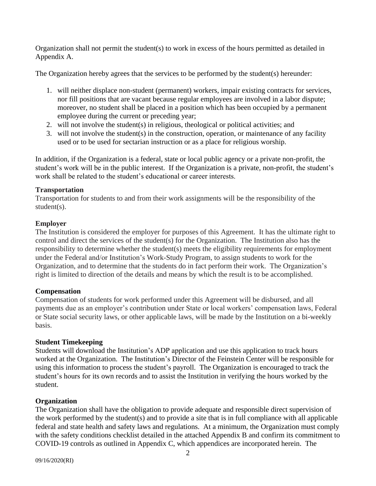Organization shall not permit the student(s) to work in excess of the hours permitted as detailed in Appendix A.

The Organization hereby agrees that the services to be performed by the student(s) hereunder:

- 1. will neither displace non-student (permanent) workers, impair existing contracts for services, nor fill positions that are vacant because regular employees are involved in a labor dispute; moreover, no student shall be placed in a position which has been occupied by a permanent employee during the current or preceding year;
- 2. will not involve the student(s) in religious, theological or political activities; and
- 3. will not involve the student(s) in the construction, operation, or maintenance of any facility used or to be used for sectarian instruction or as a place for religious worship.

In addition, if the Organization is a federal, state or local public agency or a private non-profit, the student's work will be in the public interest. If the Organization is a private, non-profit, the student's work shall be related to the student's educational or career interests.

## **Transportation**

Transportation for students to and from their work assignments will be the responsibility of the student(s).

## **Employer**

The Institution is considered the employer for purposes of this Agreement. It has the ultimate right to control and direct the services of the student(s) for the Organization. The Institution also has the responsibility to determine whether the student(s) meets the eligibility requirements for employment under the Federal and/or Institution's Work-Study Program, to assign students to work for the Organization, and to determine that the students do in fact perform their work. The Organization's right is limited to direction of the details and means by which the result is to be accomplished.

# **Compensation**

Compensation of students for work performed under this Agreement will be disbursed, and all payments due as an employer's contribution under State or local workers' compensation laws, Federal or State social security laws, or other applicable laws, will be made by the Institution on a bi-weekly basis.

## **Student Timekeeping**

Students will download the Institution's ADP application and use this application to track hours worked at the Organization. The Institution's Director of the Feinstein Center will be responsible for using this information to process the student's payroll. The Organization is encouraged to track the student's hours for its own records and to assist the Institution in verifying the hours worked by the student.

# **Organization**

The Organization shall have the obligation to provide adequate and responsible direct supervision of the work performed by the student(s) and to provide a site that is in full compliance with all applicable federal and state health and safety laws and regulations. At a minimum, the Organization must comply with the safety conditions checklist detailed in the attached Appendix B and confirm its commitment to COVID-19 controls as outlined in Appendix C, which appendices are incorporated herein. The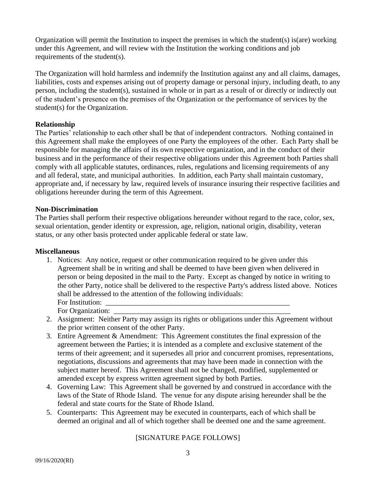Organization will permit the Institution to inspect the premises in which the student(s) is(are) working under this Agreement, and will review with the Institution the working conditions and job requirements of the student(s).

The Organization will hold harmless and indemnify the Institution against any and all claims, damages, liabilities, costs and expenses arising out of property damage or personal injury, including death, to any person, including the student(s), sustained in whole or in part as a result of or directly or indirectly out of the student's presence on the premises of the Organization or the performance of services by the student(s) for the Organization.

### **Relationship**

The Parties' relationship to each other shall be that of independent contractors. Nothing contained in this Agreement shall make the employees of one Party the employees of the other. Each Party shall be responsible for managing the affairs of its own respective organization, and in the conduct of their business and in the performance of their respective obligations under this Agreement both Parties shall comply with all applicable statutes, ordinances, rules, regulations and licensing requirements of any and all federal, state, and municipal authorities. In addition, each Party shall maintain customary, appropriate and, if necessary by law, required levels of insurance insuring their respective facilities and obligations hereunder during the term of this Agreement.

### **Non-Discrimination**

The Parties shall perform their respective obligations hereunder without regard to the race, color, sex, sexual orientation, gender identity or expression, age, religion, national origin, disability, veteran status, or any other basis protected under applicable federal or state law.

#### **Miscellaneous**

1. Notices: Any notice, request or other communication required to be given under this Agreement shall be in writing and shall be deemed to have been given when delivered in person or being deposited in the mail to the Party. Except as changed by notice in writing to the other Party, notice shall be delivered to the respective Party's address listed above. Notices shall be addressed to the attention of the following individuals: For Institution:

For Organization:

- 2. Assignment: Neither Party may assign its rights or obligations under this Agreement without the prior written consent of the other Party.
- 3. Entire Agreement & Amendment: This Agreement constitutes the final expression of the agreement between the Parties; it is intended as a complete and exclusive statement of the terms of their agreement; and it supersedes all prior and concurrent promises, representations, negotiations, discussions and agreements that may have been made in connection with the subject matter hereof. This Agreement shall not be changed, modified, supplemented or amended except by express written agreement signed by both Parties.
- 4. Governing Law: This Agreement shall be governed by and construed in accordance with the laws of the State of Rhode Island. The venue for any dispute arising hereunder shall be the federal and state courts for the State of Rhode Island.
- 5. Counterparts: This Agreement may be executed in counterparts, each of which shall be deemed an original and all of which together shall be deemed one and the same agreement.

## [SIGNATURE PAGE FOLLOWS]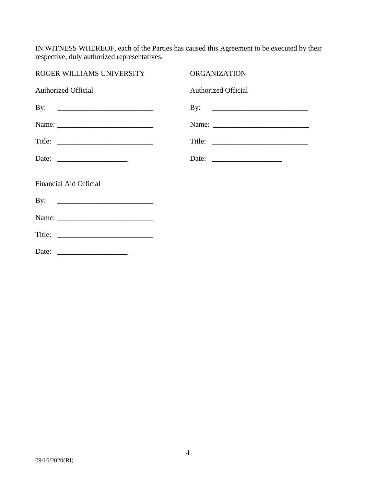IN WITNESS WHEREOF, each of the Parties has caused this Agreement to be executed by their respective, duly authorized representatives.

| ROGER WILLIAMS UNIVERSITY                                | <b>ORGANIZATION</b>        |
|----------------------------------------------------------|----------------------------|
| <b>Authorized Official</b>                               | <b>Authorized Official</b> |
| By: $\qquad \qquad$                                      |                            |
|                                                          |                            |
|                                                          |                            |
| Date: $\frac{1}{\sqrt{1-\frac{1}{2}} \cdot \frac{1}{2}}$ |                            |
| <b>Financial Aid Official</b>                            |                            |
|                                                          |                            |
|                                                          |                            |
|                                                          |                            |
|                                                          |                            |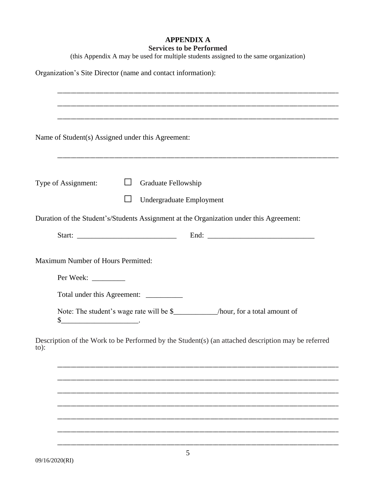## **APPENDIX A Services to be Performed**

(this Appendix A may be used for multiple students assigned to the same organization)

Organization's Site Director (name and contact information):

|                     | Name of Student(s) Assigned under this Agreement:                                                                             |  |  |  |  |
|---------------------|-------------------------------------------------------------------------------------------------------------------------------|--|--|--|--|
| Type of Assignment: | Graduate Fellowship                                                                                                           |  |  |  |  |
|                     | Undergraduate Employment                                                                                                      |  |  |  |  |
|                     | Duration of the Student's/Students Assignment at the Organization under this Agreement:                                       |  |  |  |  |
|                     |                                                                                                                               |  |  |  |  |
|                     | Maximum Number of Hours Permitted:<br>Total under this Agreement: __________                                                  |  |  |  |  |
|                     | Note: The student's wage rate will be \$_____________/hour, for a total amount of<br>$\frac{\S_{\text{max}}}{\S_{\text{max}}$ |  |  |  |  |
| $to)$ :             | Description of the Work to be Performed by the Student(s) (an attached description may be referred                            |  |  |  |  |
|                     |                                                                                                                               |  |  |  |  |
|                     |                                                                                                                               |  |  |  |  |
|                     |                                                                                                                               |  |  |  |  |
|                     |                                                                                                                               |  |  |  |  |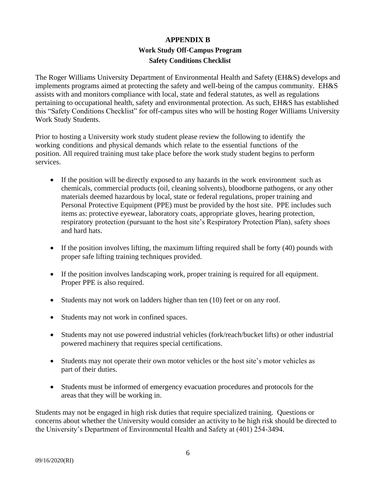# **APPENDIX B Work Study Off-Campus Program Safety Conditions Checklist**

The Roger Williams University Department of Environmental Health and Safety (EH&S) develops and implements programs aimed at protecting the safety and well-being of the campus community. EH&S assists with and monitors compliance with local, state and federal statutes, as well as regulations pertaining to occupational health, safety and environmental protection. As such, EH&S has established this "Safety Conditions Checklist" for off-campus sites who will be hosting Roger Williams University Work Study Students.

Prior to hosting a University work study student please review the following to identify the working conditions and physical demands which relate to the essential functions of the position. All required training must take place before the work study student begins to perform services.

- If the position will be directly exposed to any hazards in the work environment such as chemicals, commercial products (oil, cleaning solvents), bloodborne pathogens, or any other materials deemed hazardous by local, state or federal regulations, proper training and Personal Protective Equipment (PPE) must be provided by the host site. PPE includes such items as: protective eyewear, laboratory coats, appropriate gloves, hearing protection, respiratory protection (pursuant to the host site's Respiratory Protection Plan), safety shoes and hard hats.
- If the position involves lifting, the maximum lifting required shall be forty  $(40)$  pounds with proper safe lifting training techniques provided.
- If the position involves landscaping work, proper training is required for all equipment. Proper PPE is also required.
- Students may not work on ladders higher than ten (10) feet or on any roof.
- Students may not work in confined spaces.
- Students may not use powered industrial vehicles (fork/reach/bucket lifts) or other industrial powered machinery that requires special certifications.
- Students may not operate their own motor vehicles or the host site's motor vehicles as part of their duties.
- Students must be informed of emergency evacuation procedures and protocols for the areas that they will be working in.

Students may not be engaged in high risk duties that require specialized training. Questions or concerns about whether the University would consider an activity to be high risk should be directed to the University's Department of Environmental Health and Safety at (401) 254-3494.